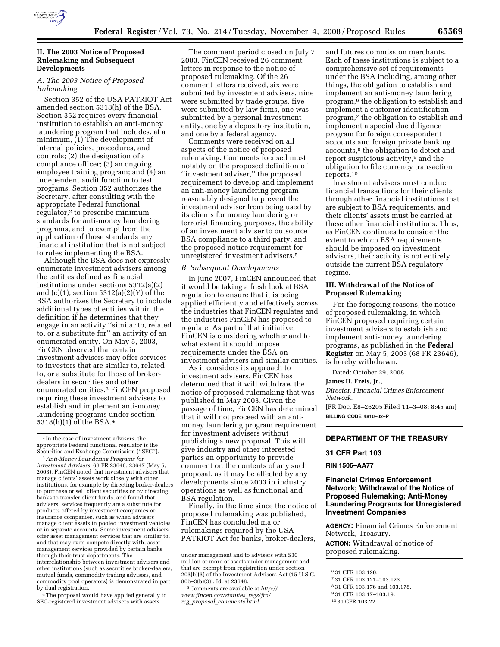

## **II. The 2003 Notice of Proposed Rulemaking and Subsequent Developments**

## *A. The 2003 Notice of Proposed Rulemaking*

Section 352 of the USA PATRIOT Act amended section 5318(h) of the BSA. Section 352 requires every financial institution to establish an anti-money laundering program that includes, at a minimum, (1) The development of internal policies, procedures, and controls; (2) the designation of a compliance officer; (3) an ongoing employee training program; and (4) an independent audit function to test programs. Section 352 authorizes the Secretary, after consulting with the appropriate Federal functional regulator,2 to prescribe minimum standards for anti-money laundering programs, and to exempt from the application of those standards any financial institution that is not subject to rules implementing the BSA.

Although the BSA does not expressly enumerate investment advisers among the entities defined as financial institutions under sections 5312(a)(2) and  $(c)(1)$ , section 5312 $(a)(2)(Y)$  of the BSA authorizes the Secretary to include additional types of entities within the definition if he determines that they engage in an activity ''similar to, related to, or a substitute for'' an activity of an enumerated entity. On May 5, 2003, FinCEN observed that certain investment advisers may offer services to investors that are similar to, related to, or a substitute for those of brokerdealers in securities and other enumerated entities.3 FinCEN proposed requiring these investment advisers to establish and implement anti-money laundering programs under section 5318(h)(1) of the BSA.4

4The proposal would have applied generally to SEC-registered investment advisers with assets

The comment period closed on July 7, 2003. FinCEN received 26 comment letters in response to the notice of proposed rulemaking. Of the 26 comment letters received, six were submitted by investment advisers, nine were submitted by trade groups, five were submitted by law firms, one was submitted by a personal investment entity, one by a depository institution, and one by a federal agency.

Comments were received on all aspects of the notice of proposed rulemaking. Comments focused most notably on the proposed definition of ''investment adviser,'' the proposed requirement to develop and implement an anti-money laundering program reasonably designed to prevent the investment adviser from being used by its clients for money laundering or terrorist financing purposes, the ability of an investment adviser to outsource BSA compliance to a third party, and the proposed notice requirement for unregistered investment advisers.5

#### *B. Subsequent Developments*

In June 2007, FinCEN announced that it would be taking a fresh look at BSA regulation to ensure that it is being applied efficiently and effectively across the industries that FinCEN regulates and the industries FinCEN has proposed to regulate. As part of that initiative, FinCEN is considering whether and to what extent it should impose requirements under the BSA on investment advisers and similar entities.

As it considers its approach to investment advisers, FinCEN has determined that it will withdraw the notice of proposed rulemaking that was published in May 2003. Given the passage of time, FinCEN has determined that it will not proceed with an antimoney laundering program requirement for investment advisers without publishing a new proposal. This will give industry and other interested parties an opportunity to provide comment on the contents of any such proposal, as it may be affected by any developments since 2003 in industry operations as well as functional and BSA regulation.

Finally, in the time since the notice of proposed rulemaking was published, FinCEN has concluded major rulemakings required by the USA PATRIOT Act for banks, broker-dealers,

5Comments are available at *http:// www.fincen.gov/statutes*\_*regs/frn/ reg*\_*proposal*\_*comments.html*.

and futures commission merchants. Each of these institutions is subject to a comprehensive set of requirements under the BSA including, among other things, the obligation to establish and implement an anti-money laundering program,6 the obligation to establish and implement a customer identification program,7 the obligation to establish and implement a special due diligence program for foreign correspondent accounts and foreign private banking accounts,<sup>8</sup> the obligation to detect and report suspicious activity,9 and the obligation to file currency transaction reports.10

Investment advisers must conduct financial transactions for their clients through other financial institutions that are subject to BSA requirements, and their clients' assets must be carried at these other financial institutions. Thus, as FinCEN continues to consider the extent to which BSA requirements should be imposed on investment advisors, their activity is not entirely outside the current BSA regulatory regime.

### **III. Withdrawal of the Notice of Proposed Rulemaking**

For the foregoing reasons, the notice of proposed rulemaking, in which FinCEN proposed requiring certain investment advisers to establish and implement anti-money laundering programs, as published in the **Federal Register** on May 5, 2003 (68 FR 23646), is hereby withdrawn.

Dated: October 29, 2008.

**James H. Freis, Jr.,** 

*Director, Financial Crimes Enforcement Network.* 

[FR Doc. E8–26205 Filed 11–3–08; 8:45 am] **BILLING CODE 4810–02–P** 

# **DEPARTMENT OF THE TREASURY**

### **31 CFR Part 103**

#### **RIN 1506–AA77**

# **Financial Crimes Enforcement Network; Withdrawal of the Notice of Proposed Rulemaking; Anti-Money Laundering Programs for Unregistered Investment Companies**

**AGENCY:** Financial Crimes Enforcement Network, Treasury.

**ACTION:** Withdrawal of notice of proposed rulemaking.

<sup>2</sup> In the case of investment advisers, the appropriate Federal functional regulator is the Securities and Exchange Commission (''SEC'').

<sup>3</sup>*Anti-Money Laundering Programs for Investment Advisers,* 68 FR 23646, 23647 (May 5, 2003). FinCEN noted that investment advisers that manage clients' assets work closely with other institutions, for example by directing broker-dealers to purchase or sell client securities or by directing banks to transfer client funds, and found that advisers' services frequently are a substitute for products offered by investment companies or insurance companies, such as when advisers manage client assets in pooled investment vehicles or in separate accounts. Some investment advisers offer asset management services that are similar to, and that may even compete directly with, asset management services provided by certain banks through their trust departments. The interrelationship between investment advisers and other institutions (such as securities broker-dealers, mutual funds, commodity trading advisors, and commodity pool operators) is demonstrated in part by dual registration.

under management and to advisers with \$30 million or more of assets under management and that are exempt from registration under section 203(b)(3) of the Investment Advisers Act (15 U.S.C. 80b–3(b)(3)). Id. at 23648.

<sup>6</sup> 31 CFR 103.120.

<sup>7</sup> 31 CFR 103.121–103.123.

<sup>8</sup> 31 CFR 103.176 and 103.178.

<sup>9</sup> 31 CFR 103.17–103.19.

<sup>10</sup> 31 CFR 103.22.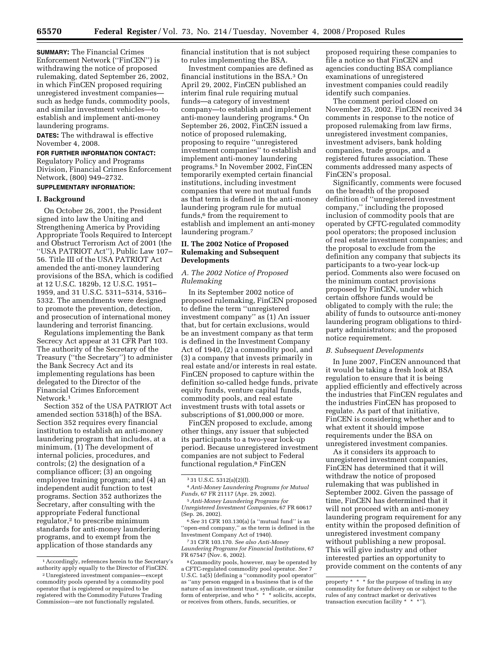**SUMMARY:** The Financial Crimes Enforcement Network (''FinCEN'') is withdrawing the notice of proposed rulemaking, dated September 26, 2002, in which FinCEN proposed requiring unregistered investment companies such as hedge funds, commodity pools, and similar investment vehicles—to establish and implement anti-money laundering programs.

**DATES:** The withdrawal is effective November 4, 2008.

# **FOR FURTHER INFORMATION CONTACT:**

Regulatory Policy and Programs Division, Financial Crimes Enforcement Network, (800) 949–2732.

# **SUPPLEMENTARY INFORMATION:**

### **I. Background**

On October 26, 2001, the President signed into law the Uniting and Strengthening America by Providing Appropriate Tools Required to Intercept and Obstruct Terrorism Act of 2001 (the ''USA PATRIOT Act''), Public Law 107– 56. Title III of the USA PATRIOT Act amended the anti-money laundering provisions of the BSA, which is codified at 12 U.S.C. 1829b, 12 U.S.C. 1951– 1959, and 31 U.S.C. 5311–5314, 5316– 5332. The amendments were designed to promote the prevention, detection, and prosecution of international money laundering and terrorist financing.

Regulations implementing the Bank Secrecy Act appear at 31 CFR Part 103. The authority of the Secretary of the Treasury (''the Secretary'') to administer the Bank Secrecy Act and its implementing regulations has been delegated to the Director of the Financial Crimes Enforcement Network<sup>1</sup>

Section 352 of the USA PATRIOT Act amended section 5318(h) of the BSA. Section 352 requires every financial institution to establish an anti-money laundering program that includes, at a minimum, (1) The development of internal policies, procedures, and controls; (2) the designation of a compliance officer; (3) an ongoing employee training program; and (4) an independent audit function to test programs. Section 352 authorizes the Secretary, after consulting with the appropriate Federal functional regulator,2 to prescribe minimum standards for anti-money laundering programs, and to exempt from the application of those standards any

financial institution that is not subject to rules implementing the BSA.

Investment companies are defined as financial institutions in the BSA.3 On April 29, 2002, FinCEN published an interim final rule requiring mutual funds—a category of investment company—to establish and implement anti-money laundering programs.4 On September 26, 2002, FinCEN issued a notice of proposed rulemaking, proposing to require ''unregistered investment companies'' to establish and implement anti-money laundering programs.5 In November 2002, FinCEN temporarily exempted certain financial institutions, including investment companies that were not mutual funds as that term is defined in the anti-money laundering program rule for mutual funds,6 from the requirement to establish and implement an anti-money laundering program.7

### **II. The 2002 Notice of Proposed Rulemaking and Subsequent Developments**

## *A. The 2002 Notice of Proposed Rulemaking*

In its September 2002 notice of proposed rulemaking, FinCEN proposed to define the term ''unregistered investment company'' as (1) An issuer that, but for certain exclusions, would be an investment company as that term is defined in the Investment Company Act of 1940, (2) a commodity pool, and (3) a company that invests primarily in real estate and/or interests in real estate. FinCEN proposed to capture within the definition so-called hedge funds, private equity funds, venture capital funds, commodity pools, and real estate investment trusts with total assets or subscriptions of \$1,000,000 or more.

FinCEN proposed to exclude, among other things, any issuer that subjected its participants to a two-year lock-up period. Because unregistered investment companies are not subject to Federal functional regulation,8 FinCEN

proposed requiring these companies to file a notice so that FinCEN and agencies conducting BSA compliance examinations of unregistered investment companies could readily identify such companies.

The comment period closed on November 25, 2002. FinCEN received 34 comments in response to the notice of proposed rulemaking from law firms, unregistered investment companies, investment advisers, bank holding companies, trade groups, and a registered futures association. These comments addressed many aspects of FinCEN's proposal.

Significantly, comments were focused on the breadth of the proposed definition of ''unregistered investment company,'' including the proposed inclusion of commodity pools that are operated by CFTC-regulated commodity pool operators; the proposed inclusion of real estate investment companies; and the proposal to exclude from the definition any company that subjects its participants to a two-year lock-up period. Comments also were focused on the minimum contact provisions proposed by FinCEN, under which certain offshore funds would be obligated to comply with the rule; the ability of funds to outsource anti-money laundering program obligations to thirdparty administrators; and the proposed notice requirement.

#### *B. Subsequent Developments*

In June 2007, FinCEN announced that it would be taking a fresh look at BSA regulation to ensure that it is being applied efficiently and effectively across the industries that FinCEN regulates and the industries FinCEN has proposed to regulate. As part of that initiative, FinCEN is considering whether and to what extent it should impose requirements under the BSA on unregistered investment companies.

As it considers its approach to unregistered investment companies, FinCEN has determined that it will withdraw the notice of proposed rulemaking that was published in September 2002. Given the passage of time, FinCEN has determined that it will not proceed with an anti-money laundering program requirement for any entity within the proposed definition of unregistered investment company without publishing a new proposal. This will give industry and other interested parties an opportunity to provide comment on the contents of any

<sup>1</sup>Accordingly, references herein to the Secretary's authority apply equally to the Director of FinCEN.

<sup>2</sup>Unregistered investment companies—except commodity pools operated by a commodity pool operator that is registered or required to be registered with the Commodity Futures Trading Commission—are not functionally regulated.

<sup>3</sup> 31 U.S.C. 5312(a)(2)(I).

<sup>4</sup>*Anti-Money Laundering Programs for Mutual Funds*, 67 FR 21117 (Apr. 29, 2002).

<sup>5</sup>*Anti-Money Laundering Programs for Unregistered Investment Companies*, 67 FR 60617 (Sep. 26, 2002).

<sup>6</sup>*See* 31 CFR 103.130(a) (a ''mutual fund'' is an ''open-end company,'' as the term is defined in the Investment Company Act of 1940).

<sup>7</sup> 31 CFR 103.170. *See also Anti-Money Laundering Programs for Financial Institutions*, 67 FR 67547 (Nov. 6, 2002).

<sup>8</sup>Commodity pools, however, may be operated by a CFTC-regulated commodity pool operator. *See* 7 U.S.C. 1a(5) (defining a ''commodity pool operator'' as ''any person engaged in a business that is of the nature of an investment trust, syndicate, or similar form of enterprise, and who \* \* \* solicits, accepts, or receives from others, funds, securities, or

property \* \* \* for the purpose of trading in any commodity for future delivery on or subject to the rules of any contract market or derivatives transaction execution facility \* \* \*'').